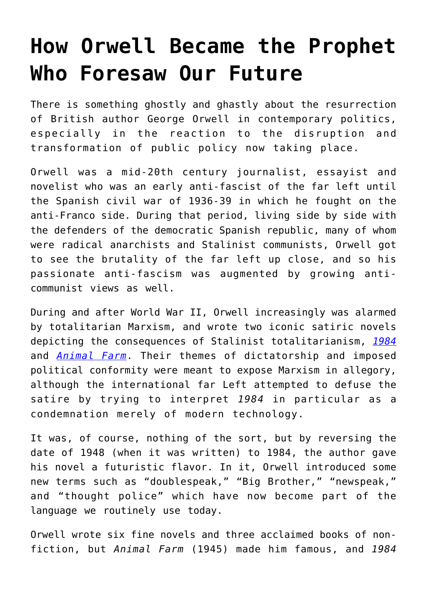## **[How Orwell Became the Prophet](https://intellectualtakeout.org/2017/09/how-orwell-became-the-prophet-who-foresaw-our-future/) [Who Foresaw Our Future](https://intellectualtakeout.org/2017/09/how-orwell-became-the-prophet-who-foresaw-our-future/)**

There is something ghostly and ghastly about the resurrection of British author George Orwell in contemporary politics, especially in the reaction to the disruption and transformation of public policy now taking place.

Orwell was a mid-20th century journalist, essayist and novelist who was an early anti-fascist of the far left until the Spanish civil war of 1936-39 in which he fought on the anti-Franco side. During that period, living side by side with the defenders of the democratic Spanish republic, many of whom were radical anarchists and Stalinist communists, Orwell got to see the brutality of the far left up close, and so his passionate anti-fascism was augmented by growing anticommunist views as well.

During and after World War II, Orwell increasingly was alarmed by totalitarian Marxism, and wrote two iconic satiric novels depicting the consequences of Stalinist totalitarianism, *[1984](http://amzn.to/2wIEkhT)* and *[Animal Farm](http://amzn.to/2j4tFep)*. Their themes of dictatorship and imposed political conformity were meant to expose Marxism in allegory, although the international far Left attempted to defuse the satire by trying to interpret *1984* in particular as a condemnation merely of modern technology.

It was, of course, nothing of the sort, but by reversing the date of 1948 (when it was written) to 1984, the author gave his novel a futuristic flavor. In it, Orwell introduced some new terms such as "doublespeak," "Big Brother," "newspeak," and "thought police" which have now become part of the language we routinely use today.

Orwell wrote six fine novels and three acclaimed books of nonfiction, but *Animal Farm* (1945) made him famous, and *1984*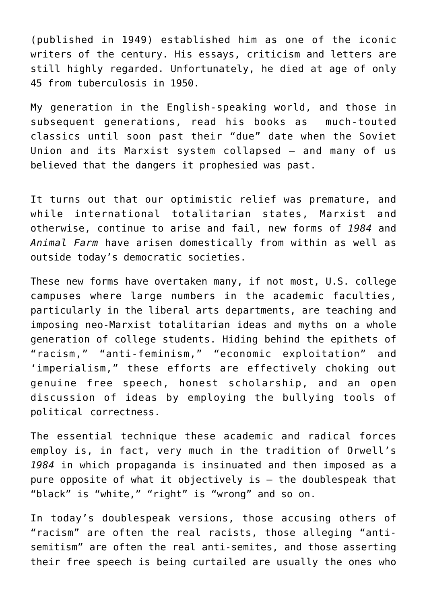(published in 1949) established him as one of the iconic writers of the century. His essays, criticism and letters are still highly regarded. Unfortunately, he died at age of only 45 from tuberculosis in 1950.

My generation in the English-speaking world, and those in subsequent generations, read his books as much-touted classics until soon past their "due" date when the Soviet Union and its Marxist system collapsed — and many of us believed that the dangers it prophesied was past.

It turns out that our optimistic relief was premature, and while international totalitarian states, Marxist and otherwise, continue to arise and fail, new forms of *1984* and *Animal Farm* have arisen domestically from within as well as outside today's democratic societies.

These new forms have overtaken many, if not most, U.S. college campuses where large numbers in the academic faculties, particularly in the liberal arts departments, are teaching and imposing neo-Marxist totalitarian ideas and myths on a whole generation of college students. Hiding behind the epithets of "racism," "anti-feminism," "economic exploitation" and 'imperialism," these efforts are effectively choking out genuine free speech, honest scholarship, and an open discussion of ideas by employing the bullying tools of political correctness.

The essential technique these academic and radical forces employ is, in fact, very much in the tradition of Orwell's *1984* in which propaganda is insinuated and then imposed as a pure opposite of what it objectively is — the doublespeak that "black" is "white," "right" is "wrong" and so on.

In today's doublespeak versions, those accusing others of "racism" are often the real racists, those alleging "antisemitism" are often the real anti-semites, and those asserting their free speech is being curtailed are usually the ones who